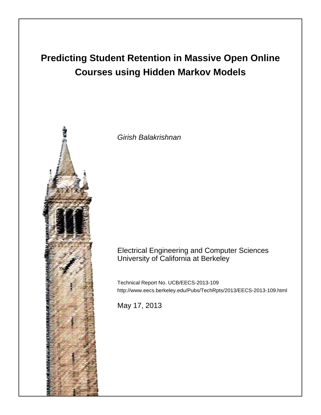# **Predicting Student Retention in Massive Open Online Courses using Hidden Markov Models**



Girish Balakrishnan

## Electrical Engineering and Computer Sciences University of California at Berkeley

Technical Report No. UCB/EECS-2013-109 http://www.eecs.berkeley.edu/Pubs/TechRpts/2013/EECS-2013-109.html

May 17, 2013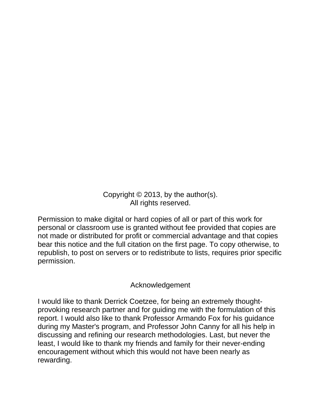Copyright © 2013, by the author(s). All rights reserved.

Permission to make digital or hard copies of all or part of this work for personal or classroom use is granted without fee provided that copies are not made or distributed for profit or commercial advantage and that copies bear this notice and the full citation on the first page. To copy otherwise, to republish, to post on servers or to redistribute to lists, requires prior specific permission.

## Acknowledgement

I would like to thank Derrick Coetzee, for being an extremely thoughtprovoking research partner and for guiding me with the formulation of this report. I would also like to thank Professor Armando Fox for his guidance during my Master's program, and Professor John Canny for all his help in discussing and refining our research methodologies. Last, but never the least, I would like to thank my friends and family for their never-ending encouragement without which this would not have been nearly as rewarding.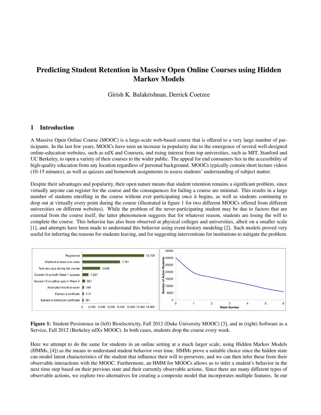## Predicting Student Retention in Massive Open Online Courses using Hidden Markov Models

Girish K. Balakrishnan, Derrick Coetzee

## 1 Introduction

A Massive Open Online Course (MOOC) is a large-scale web-based course that is offered to a very large number of participants. In the last few years, MOOCs have seen an increase in popularity due to the emergence of several well-designed online-education websites, such as edX and Coursera, and rising interest from top universities, such as MIT, Stanford and UC Berkeley, to open a variety of their courses to the wider public. The appeal for end consumers lies in the accessibility of high-quality education from any location regardless of personal background. MOOCs typically contain short lecture videos (10-15 minutes), as well as quizzes and homework assignments to assess students' understanding of subject matter.

Despite their advantages and popularity, their open nature means that student retention remains a significant problem, since virtually anyone can register for the course and the consequences for failing a course are minimal. This results in a large number of students enrolling in the course without ever participating once it begins, as well as students continuing to drop out at virtually every point during the course (illustrated in figure 1 for two different MOOCs offered from different universities on different websites). While the problem of the never-participating student may be due to factors that are external from the course itself, the latter phenomenon suggests that for whatever reason, students are losing the will to complete the course. This behavior has also been observed at physical colleges and universities, albeit on a smaller scale [1], and attempts have been made to understand this behavior using event-history modeling [2]. Such models proved very useful for inferring the reasons for students leaving, and for suggesting interventions for institutions to mitigate the problem.



Figure 1: Student Persistence in (left) Bioelectricity, Fall 2012 (Duke University MOOC) [3], and in (right) Software as a Service, Fall 2012 (Berkeley edXs MOOC). In both cases, students drop the course every week.

Here we attempt to do the same for students in an online setting at a much larger scale, using Hidden Markov Models (HMMs, [4]) as the means to understand student behavior over time. HMMs prove a suitable choice since the hidden state can model latent characteristics of the student that influence their will to persevere, and we can then infer these from their observable interactions with the MOOC. Furthermore, an HMM for MOOCs allows us to infer a student's behavior in the next time step based on their previous state and their currently observable actions. Since there are many different types of observable actions, we explore two alternatives for creating a composite model that incorporates multiple features. In our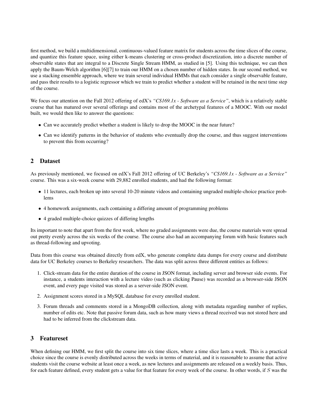first method, we build a multidimensional, continuous-valued feature matrix for students across the time slices of the course, and quantize this feature space, using either k-means clustering or cross-product discretization, into a discrete number of observable states that are integral to a Discrete Single Stream HMM, as studied in [5]. Using this technique, we can then apply the Baum-Welch algorithm [6][7] to train our HMM on a chosen number of hidden states. In our second method, we use a stacking ensemble approach, where we train several individual HMMs that each consider a single observable feature, and pass their results to a logistic regressor which we train to predict whether a student will be retained in the next time step of the course.

We focus our attention on the Fall 2012 offering of edX's "CS169.1x - Software as a Service", which is a relatively stable course that has matured over several offerings and contains most of the archetypal features of a MOOC. With our model built, we would then like to answer the questions:

- Can we accurately predict whether a student is likely to drop the MOOC in the near future?
- Can we identify patterns in the behavior of students who eventually drop the course, and thus suggest interventions to prevent this from occurring?

## 2 Dataset

As previously mentioned, we focused on edX's Fall 2012 offering of UC Berkeley's *"CS169.1x - Software as a Service"* course. This was a six-week course with 29,882 enrolled students, and had the following format:

- 11 lectures, each broken up into several 10-20 minute videos and containing ungraded multiple-choice practice problems
- 4 homework assignments, each containing a differing amount of programming problems
- 4 graded multiple-choice quizzes of differing lengths

Its important to note that apart from the first week, where no graded assignments were due, the course materials were spread out pretty evenly across the six weeks of the course. The course also had an accompanying forum with basic features such as thread-following and upvoting.

Data from this course was obtained directly from edX, who generate complete data dumps for every course and distribute data for UC Berkeley courses to Berkeley researchers. The data was split across three different entities as follows:

- 1. Click-stream data for the entire duration of the course in JSON format, including server and browser side events. For instance, a students interaction with a lecture video (such as clicking Pause) was recorded as a browser-side JSON event, and every page visited was stored as a server-side JSON event.
- 2. Assignment scores stored in a MySQL database for every enrolled student.
- 3. Forum threads and comments stored in a MongoDB collection, along with metadata regarding number of replies, number of edits etc. Note that passive forum data, such as how many views a thread received was not stored here and had to be inferred from the clickstream data.

## 3 Featureset

When defining our HMM, we first split the course into six time slices, where a time slice lasts a week. This is a practical choice since the course is evenly distributed across the weeks in terms of material, and it is reasonable to assume that active students visit the course website at least once a week, as new lectures and assignments are released on a weekly basis. Thus, for each feature defined, every student gets a value for that feature for every week of the course. In other words, if S was the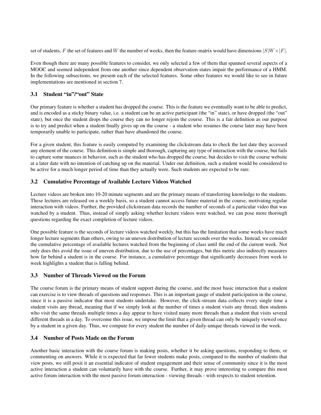set of students, F the set of features and W the number of weeks, then the feature-matrix would have dimensions  $|S|W\times|F|$ .

Even though there are many possible features to consider, we only selected a few of them that spanned several aspects of a MOOC and seemed independent from one another since dependent observation states impair the performance of a HMM. In the following subsections, we present each of the selected features. Some other features we would like to see in future implementations are mentioned in section 7.

## 3.1 Student "in"/"out" State

Our primary feature is whether a student has dropped the course. This is the feature we eventually want to be able to predict, and is encoded as a sticky binary value, i.e. a student can be an active participant (the "in" state), or have dropped (the "out" state), but once the student drops the course they can no longer rejoin the course. This is a fair definition as our purpose is to try and predict when a student finally gives up on the course - a student who resumes the course later may have been temporarily unable to participate, rather than have abandoned the course.

For a given student, this feature is easily computed by examining the clickstream data to check the last date they accessed any element of the course. This definition is simple and thorough, capturing any type of interaction with the course, but fails to capture some nuances in behavior, such as the student who has dropped the course, but decides to visit the course website at a later date with no intention of catching up on the material. Under our definition, such a student would be considered to be active for a much longer period of time than they actually were. Such students are expected to be rare.

## 3.2 Cumulative Percentage of Available Lecture Videos Watched

Lecture videos are broken into 10-20 minute segments and are the primary means of transferring knowledge to the students. These lectures are released on a weekly basis, so a student cannot access future material in the course, motivating regular interaction with videos. Further, the provided clickstream data records the number of seconds of a particular video that was watched by a student. Thus, instead of simply asking whether lecture videos were watched, we can pose more thorough questions regarding the exact completion of lecture videos.

One possible feature is the seconds of lecture videos watched weekly, but this has the limitation that some weeks have much longer lecture segments than others, owing to an uneven distribution of lecture seconds over the weeks. Instead, we consider the cumulative percentage of available lectures watched from the beginning of class until the end of the current week. Not only does this avoid the issue of uneven distribution, due to the use of percentages, but this metric also indirectly measures how far behind a student is in the course. For instance, a cumulative percentage that significantly decreases from week to week highlights a student that is falling behind.

## 3.3 Number of Threads Viewed on the Forum

The course forum is the primary means of student support during the course, and the most basic interaction that a student can exercise is to view threads of questions and responses. This is an important gauge of student participation in the course, since it is a passive indicator that most students undertake. However, the click-stream data collects every single time a student visits any thread, meaning that if we simply look at the number of times a student visits any thread, then students who visit the same threads multiple times a day appear to have visited many more threads than a student that visits several different threads in a day. To overcome this issue, we impose the limit that a given thread can only be uniquely viewed once by a student in a given day. Thus, we compute for every student the number of daily-unique threads viewed in the week.

## 3.4 Number of Posts Made on the Forum

Another basic interaction with the course forum is making posts, whether it be asking questions, responding to them, or commenting on answers. While it is expected that far fewer students make posts, compared to the number of students that view posts, we still posit it an essential indicator of student engagement and their sense of community since it is the most active interaction a student can voluntarily have with the course. Further, it may prove interesting to compare this most active forum interaction with the most passive forum interaction - viewing threads - with respects to student retention.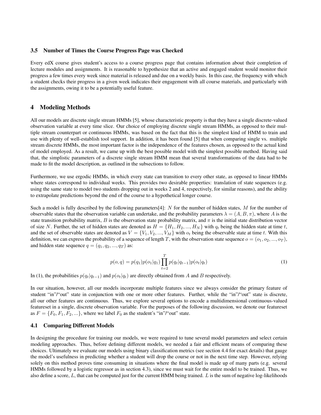#### 3.5 Number of Times the Course Progress Page was Checked

Every edX course gives student's access to a course progress page that contains information about their completion of lecture modules and assignments. It is reasonable to hypothesize that an active and engaged student would monitor their progress a few times every week since material is released and due on a weekly basis. In this case, the frequency with which a student checks their progress in a given week indicates their engagement with all course materials, and particularly with the assignments, owing it to be a potentially useful feature.

### 4 Modeling Methods

All our models are discrete single stream HMMs [5], whose characteristic property is that they have a single discrete-valued observation variable at every time slice. Our choice of employing discrete single stream HMMs, as opposed to their multiple stream counterpart or continuous HMMs, was based on the fact that this is the simplest kind of HMM to train and use with plenty of well-establish tool support. In addition, it has been found [5] that when comparing single vs. multiple stream discrete HMMs, the most important factor is the independence of the features chosen, as opposed to the actual kind of model employed. As a result, we came up with the best possible model with the simplest possible method. Having said that, the simplistic parameters of a discrete single stream HMM mean that several transformations of the data had to be made to fit the model description, as outlined in the subsections to follow.

Furthermore, we use ergodic HMMs, in which every state can transition to every other state, as opposed to linear HMMs where states correspond to individual weeks. This provides two desirable properties: translation of state sequences (e.g. using the same state to model two students dropping out in weeks 2 and 4, respectively, for similar reasons), and the ability to extrapolate predictions beyond the end of the course to a hypothetical longer course.

Such a model is fully described by the following parameters[4]:  $N$  for the number of hidden states,  $M$  for the number of observable states that the observation variable can undertake, and the probability parameters  $\lambda = (A, B, \pi)$ , where A is the state transition probability matrix, B is the observation state probability matrix, and  $\pi$  is the initial state distribution vector of size N. Further, the set of hidden states are denoted as  $H = \{H_1, H_2, ..., H_N\}$  with  $q_t$  being the hidden state at time t, and the set of observable states are denoted as  $V = \{V_1, V_2, ..., V_M\}$  with  $o_t$  being the observable state at time t. With this definition, we can express the probability of a sequence of length T, with the observation state sequence  $o = (o_1, o_2, ..., o_T)$ , and hidden state sequence  $q = (q_1, q_2, ..., q_T)$  as:

$$
p(o,q) = p(q_1)p(o_1|q_1) \prod_{t=2}^{T} p(q_t|q_{t-1})p(o_t|q_t)
$$
\n(1)

In (1), the probabilities  $p(q_t|q_{t-1})$  and  $p(o_t|q_t)$  are directly obtained from A and B respectively.

In our situation, however, all our models incorporate multiple features since we always consider the primary feature of student "in"/"out" state in conjunction with one or more other features. Further, while the "in"/"out" state is discrete, all our other features are continuous. Thus, we explore several options to encode a multidimensional continuous-valued featureset in a single, discrete observation variable. For the purposes of the following discussion, we denote our featureset as  $F = \{F_0, F_1, F_2, \ldots\}$ , where we label  $F_0$  as the student's "in"/"out" state.

## 4.1 Comparing Different Models

In designing the procedure for training our models, we were required to tune several model parameters and select certain modeling approaches. Thus, before defining different models, we needed a fair and efficient means of comparing these choices. Ultimately we evaluate our models using binary classification metrics (see section 4.4 for exact details) that gauge the model's usefulness in predicting whether a student will drop the course or not in the next time step. However, relying solely on this method proves time consuming in situations where the final model is made up of many parts (e.g. several HMMs followed by a logistic regressor as in section 4.3), since we must wait for the entire model to be trained. Thus, we also define a score,  $L$ , that can be computed just for the current HMM being trained.  $L$  is the sum of negative log-likelihoods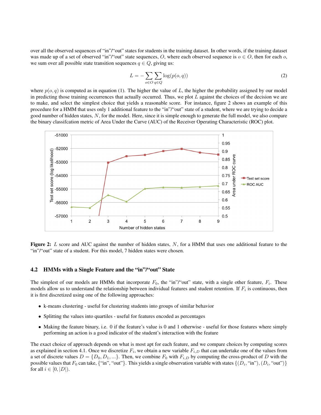over all the observed sequences of "in"/"out" states for students in the training dataset. In other words, if the training dataset was made up of a set of observed "in"/"out" state sequences, O, where each observed sequence is  $o \in O$ , then for each  $o$ , we sum over all possible state transition sequences  $q \in Q$ , giving us:

$$
L = -\sum_{o \in O} \sum_{q \in Q} \log(p(o, q))
$$
\n(2)

where  $p(o, q)$  is computed as in equation (1). The higher the value of L, the higher the probability assigned by our model in predicting those training occurrences that actually occurred. Thus, we plot  $L$  against the choices of the decision we are to make, and select the simplest choice that yields a reasonable score. For instance, figure 2 shows an example of this procedure for a HMM that uses only 1 additional feature to the "in"/"out" state of a student, where we are trying to decide a good number of hidden states, N, for the model. Here, since it is simple enough to generate the full model, we also compare the binary classifcation metric of Area Under the Curve (AUC) of the Receiver Operating Characteristic (ROC) plot.



Figure 2: L score and AUC against the number of hidden states,  $N$ , for a HMM that uses one additional feature to the "in"/"out" state of a student. For this model, 7 hidden states were chosen.

#### 4.2 HMMs with a Single Feature and the "in"/"out" State

The simplest of our models are HMMs that incorporate  $F_0$ , the "in"/"out" state, with a single other feature,  $F_i$ . These models allow us to understand the relationship between individual features and student retention. If  $F_i$  is continuous, then it is first discretized using one of the following approaches:

- k-means clustering useful for clustering students into groups of similar behavior
- Splitting the values into quartiles useful for features encoded as percentages
- Making the feature binary, i.e. 0 if the feature's value is 0 and 1 otherwise useful for those features where simply performing an action is a good indicator of the student's interaction with the feature

The exact choice of approach depends on what is most apt for each feature, and we compare choices by computing scores as explained in section 4.1. Once we discretize  $F_i$ , we obtain a new variable  $F_{i,D}$  that can undertake one of the values from a set of discrete values  $D = \{D_0, D_1, ...\}$ . Then, we combine  $F_0$  with  $F_{i,D}$  by computing the cross-product of D with the possible values that  $F_0$  can take, {"in", "out"}. This yields a single observation variable with states  $\{(D_i, "in"), (D_i, "out")\}$ for all  $i \in [0, |D|)$ .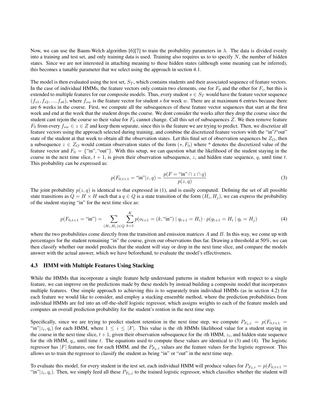Now, we can use the Baum-Welch algorithm [6][7] to train the probability parameters in  $\lambda$ . The data is divided evenly into a training and test set, and only training data is used. Training also requires us to to specify  $N$ , the number of hidden states. Since we are not interested in attaching meaning to these hidden states (although some meaning can be inferred), this becomes a tunable parameter that we select using the approach in section 4.1.

The model is then evaluated using the test set,  $S_T$ , which contains students and their associated sequence of feature vectors. In the case of individual HMMs, the feature vectors only contain two elements, one for  $F_0$  and the other for  $F_i$ , but this is extended to multiple features for our composite models. Thus, every student  $s \in S_T$  would have the feature vector sequence  $(f_{s1}, f_{s2},..., f_{s6})$ , where  $f_{sw}$  is the feature vector for student s for week w. There are at maximum 6 entries because there are 6 weeks in the course. First, we compute all the subsequences of these feature vector sequences that start at the first week and end at the week that the student drops the course. We dont consider the weeks after they drop the course since the student cant rejoin the course so their value for  $F_0$  cannot change. Call this set of subsequences Z. We then remove feature  $F_0$  from every  $f_{sw} \in z \in Z$  and keep them separate, since this is the feature we are trying to predict. Then, we discretize all feature vectors using the approach selected during training, and combine the discretized feature vectors with the "in"/"out" state of the student at that week to obtain all the observation states. Let this final set of observation sequences be  $Z_O$ , then a subsequence  $z \in Z_O$  would contain observation states of the form  $(*, F_0)$  where \* denotes the discretized value of the feature vector and  $F_0 = \{``in", "out"\}$ . With this setup, we can question what the likelihood of the student staying in the course in the next time slice,  $t + 1$ , is given their observation subsequence, z, and hidden state sequence, q, until time t. This probability can be expressed as:

$$
p(F_{0,t+1} = "in"]z, q) = \frac{p(F = "in"] \cap z \cap q)}{p(z, q)}
$$
\n(3)

The joint probability  $p(z, q)$  is identical to that expressed in (1), and is easily computed. Defining the set of all possible state transitions as  $Q = H \times H$  such that a  $q \in Q$  is a state transition of the form  $(H_i, H_j)$ , we can express the probability of the student staying "in" for the next time slice as:

$$
p(F_{0,t+1} = "in") = \sum_{(H_i, H_j) \in Q} \sum_{k=1}^{K} p(o_{t+1} = (k, "in") \mid q_{t+1} = H_i) \cdot p(q_{t+1} = H_i \mid q_t = H_j)
$$
(4)

where the two probabilities come directly from the transition and emission matrices  $A$  and  $B$ . In this way, we come up with percentages for the student remaining "in" the course, given our observations thus far. Drawing a threshold at 50%, we can then classify whether our model predicts that the student will stay or drop in the next time slice, and compare the models answer with the actual answer, which we have beforehand, to evaluate the model's effectiveness.

#### 4.3 HMM with Multiple Features Using Stacking

While the HMMs that incorporate a single feature help understand patterns in student behavior with respect to a single feature, we can improve on the predictions made by these models by instead building a composite model that incorporates multiple features. One simple approach to achieving this is to separately train individual HMMs (as in section 4.2) for each feature we would like to consider, and employ a stacking ensemble method, where the prediction probabilities from individual HMMs are fed into an off-the-shelf logistic regressor, which assigns weights to each of the feature models and computes an overall prediction probability for the student's rention in the next time step.

Specifically, since we are trying to predict student retention in the next time step, we compute  $P_{F_0,i} = p(F_{0,t+1})$ "in" $|z_i, q_i\rangle$  for each HMM, where  $1 \leq i \leq |F|$ . This value is the *i*th HMMs likelihood value for a student staying in the course in the next time slice,  $t + 1$ , given their observation subsequence for the *i*th HMM,  $z_i$ , and hidden state sequence for the *i*th HMM,  $q_i$ , until time t. The equations used to compute these values are identical to (3) and (4). The logistic regressor has  $|F|$  features, one for each HMM, and the  $P_{F_0,i}$  values are the feature values for the logistic regressor. This allows us to train the regressor to classify the student as being "in" or "out" in the next time step.

To evaluate this model, for every student in the test set, each individual HMM will produce values for  $P_{F_0,i} = p(F_{0,t+1} =$ "in" $|z_i, q_i\rangle$ . Then, we simply feed all these  $P_{F_0,i}$  to the trained logistic regressor, which classifies whether the student will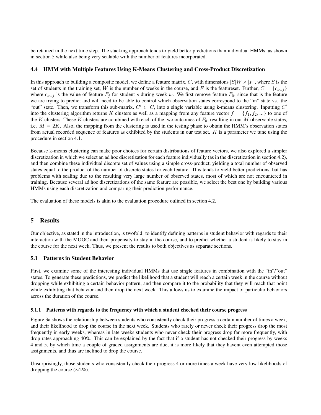be retained in the next time step. The stacking approach tends to yield better predictions than individual HMMs, as shown in section 5 while also being very scalable with the number of features incorporated.

## 4.4 HMM with Multiple Features Using K-Means Clustering and Cross-Product Discretization

In this approach to building a composite model, we define a feature matrix, C, with dimensions  $|S|W \times |F|$ , where S is the set of students in the training set, W is the number of weeks in the course, and F is the featureset. Further,  $C = \{c_{swj}\}$ where  $c_{swj}$  is the value of feature  $F_j$  for student s during week w. We first remove feature  $F_0$ , since that is the feature we are trying to predict and will need to be able to control which observation states correspond to the "in" state vs. the "out" state. Then, we transform this sub-matrix,  $C' \subset C$ , into a single variable using k-means clustering. Inputting  $C'$ into the clustering algorithm returns K clusters as well as a mapping from any feature vector  $f = \{f_1, f_2, ...\}$  to one of the K clusters. These K clusters are combined with each of the two outcomes of  $F_0$ , resulting in our M observable states, i.e.  $M = 2K$ . Also, the mapping from the clustering is used in the testing phase to obtain the HMM's observation states from actual recorded sequence of features as exhibited by the students in our test set. K is a parameter we tune using the procedure in section 4.1.

Because k-means clustering can make poor choices for certain distributions of feature vectors, we also explored a simpler discretization in which we select an ad hoc discretization for each feature individually (as in the discretization in section 4.2), and then combine these individual discrete set of values using a simple cross-product, yielding a total number of observed states equal to the product of the number of discrete states for each feature. This tends to yield better predictions, but has problems with scaling due to the resulting very large number of observed states, most of which are not encountered in training. Because several ad hoc discretizations of the same feature are possible, we select the best one by building various HMMs using each discretization and comparing their prediction performance.

The evaluation of these models is akin to the evaluation procedure oulined in section 4.2.

## 5 Results

Our objective, as stated in the introduction, is twofold: to identify defining patterns in student behavior with regards to their interaction with the MOOC and their propensity to stay in the course, and to predict whether a student is likely to stay in the course for the next week. Thus, we present the results to both objectives as separate sections.

## 5.1 Patterns in Student Behavior

First, we examine some of the interesting individual HMMs that use single features in combination with the "in"/"out" states. To generate these predictions, we predict the likelihood that a student will reach a certain week in the course without dropping while exhibiting a certain behavior pattern, and then compare it to the probability that they will reach that point while exhibiting that behavior and then drop the next week. This allows us to examine the impact of particular behaviors across the duration of the course.

#### 5.1.1 Patterns with regards to the frequency with which a student checked their course progress

Figure 3a shows the relationship between students who consistently check their progress a certain number of times a week, and their likelihood to drop the course in the next week. Students who rarely or never check their progress drop the most frequently in early weeks, whereas in late weeks students who never check their progress drop far more frequently, with drop rates approaching 40%. This can be explained by the fact that if a student has not checked their progress by weeks 4 and 5, by which time a couple of graded assignments are due, it is more likely that they havent even attempted those assignments, and thus are inclined to drop the course.

Unsurprisingly, those students who consistently check their progress 4 or more times a week have very low likelihoods of dropping the course ( $\sim$ 2%).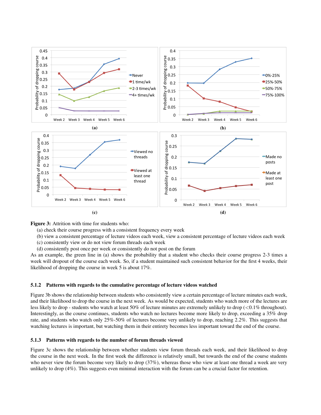

Figure 3: Attrition with time for students who:

- (a) check their course progress with a consistent frequency every week
- (b) view a consistent percentage of lecture videos each week, view a consistent percentage of lecture videos each week
- (c) consistently view or do not view forum threads each week
- (d) consistently post once per week or consistently do not post on the forum

As an example, the green line in (a) shows the probability that a student who checks their course progress 2-3 times a week will dropout of the course each week. So, if a student maintained such consistent behavior for the first 4 weeks, their likelihood of dropping the course in week 5 is about 17%.

#### 5.1.2 Patterns with regards to the cumulative percentage of lecture videos watched

Figure 3b shows the relationship between students who consistently view a certain percentage of lecture minutes each week, and their likelihood to drop the course in the next week. As would be expected, students who watch more of the lectures are less likely to drop - students who watch at least 50% of lecture minutes are extremely unlikely to drop (<0.1% throughout). Interestingly, as the course continues, students who watch no lectures become more likely to drop, exceeding a 35% drop rate, and students who watch only 25%-50% of lectures become very unlikely to drop, reaching 2.2%. This suggests that watching lectures is important, but watching them in their entirety becomes less important toward the end of the course.

#### 5.1.3 Patterns with regards to the number of forum threads viewed

Figure 3c shows the relationship between whether students view forum threads each week, and their likelihood to drop the course in the next week. In the first week the difference is relatively small, but towards the end of the course students who never view the forum become very likely to drop (37%), whereas those who view at least one thread a week are very unlikely to drop (4%). This suggests even minimal interaction with the forum can be a crucial factor for retention.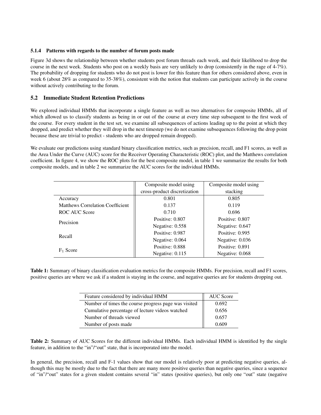## 5.1.4 Patterns with regards to the number of forum posts made

Figure 3d shows the relationship between whether students post forum threads each week, and their likelihood to drop the course in the next week. Students who post on a weekly basis are very unlikely to drop (consistently in the rage of 4-7%). The probability of dropping for students who do not post is lower for this feature than for others considered above, even in week 6 (about 28% as compared to 35-38%), consistent with the notion that students can participate actively in the course without actively contributing to the forum.

## 5.2 Immediate Student Retention Predictions

We explored individual HMMs that incorporate a single feature as well as two alternatives for composite HMMs, all of which allowed us to classify students as being in or out of the course at every time step subsequent to the first week of the course. For every student in the test set, we examine all subsequences of actions leading up to the point at which they dropped, and predict whether they will drop in the next timestep (we do not examine subsequences following the drop point because these are trivial to predict - students who are dropped remain dropped).

We evaluate our predictions using standard binary classification metrics, such as precision, recall, and F1 scores, as well as the Area Under the Curve (AUC) score for the Receiver Operating Characteristic (ROC) plot, and the Matthews correlation coefficient. In figure 4, we show the ROC plots for the best composite model, in table 1 we summarize the results for both composite models, and in table 2 we summarize the AUC scores for the individual HMMs.

|                                  | Composite model using        | Composite model using |
|----------------------------------|------------------------------|-----------------------|
|                                  | cross-product discretization | stacking              |
| Accuracy                         | 0.801                        | 0.805                 |
| Matthews Correlation Coefficient | 0.137                        | 0.119                 |
| <b>ROC AUC Score</b>             | 0.710                        | 0.696                 |
| Precision                        | Positive: 0.807              | Positive: 0.807       |
|                                  | Negative: 0.558              | Negative: 0.647       |
| Recall                           | Positive: 0.987              | Positive: 0.995       |
|                                  | Negative: 0.064              | Negative: 0.036       |
| $F_1$ Score                      | Positive: 0.888              | Positive: 0.891       |
|                                  | Negative: $0.115$            | Negative: 0.068       |

Table 1: Summary of binary classification evaluation metrics for the composite HMMs. For precision, recall and F1 scores, positive queries are where we ask if a student is staying in the course, and negative queries are for students dropping out.

| Feature considered by individual HMM                 | <b>AUC</b> Score |
|------------------------------------------------------|------------------|
| Number of times the course progress page was visited | 0.692            |
| Cumulative percentage of lecture videos watched      | 0.656            |
| Number of threads viewed                             | 0.657            |
| Number of posts made                                 | 0.609            |

Table 2: Summary of AUC Scores for the different individual HMMs. Each individual HMM is identified by the single feature, in addition to the "in"/"out" state, that is incorporated into the model.

In general, the precision, recall and F-1 values show that our model is relatively poor at predicting negative queries, although this may be mostly due to the fact that there are many more positive queries than negative queries, since a sequence of "in"/"out" states for a given student contains several "in" states (positive queries), but only one "out" state (negative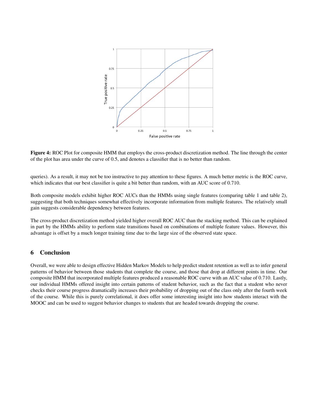

Figure 4: ROC Plot for composite HMM that employs the cross-product discretization method. The line through the center of the plot has area under the curve of 0.5, and denotes a classifier that is no better than random.

queries). As a result, it may not be too instructive to pay attention to these figures. A much better metric is the ROC curve, which indicates that our best classifier is quite a bit better than random, with an AUC score of 0.710.

Both composite models exhibit higher ROC AUCs than the HMMs using single features (comparing table 1 and table 2), suggesting that both techniques somewhat effectively incorporate information from multiple features. The relatively small gain suggests considerable dependency between features.

The cross-product discretization method yielded higher overall ROC AUC than the stacking method. This can be explained in part by the HMMs ability to perform state transitions based on combinations of multiple feature values. However, this advantage is offset by a much longer training time due to the large size of the observed state space.

## 6 Conclusion

Overall, we were able to design effective Hidden Markov Models to help predict student retention as well as to infer general patterns of behavior between those students that complete the course, and those that drop at different points in time. Our composite HMM that incorporated multiple features produced a reasonable ROC curve with an AUC value of 0.710. Lastly, our individual HMMs offered insight into certain patterns of student behavior, such as the fact that a student who never checks their course progress dramatically increases their probability of dropping out of the class only after the fourth week of the course. While this is purely correlational, it does offer some interesting insight into how students interact with the MOOC and can be used to suggest behavior changes to students that are headed towards dropping the course.